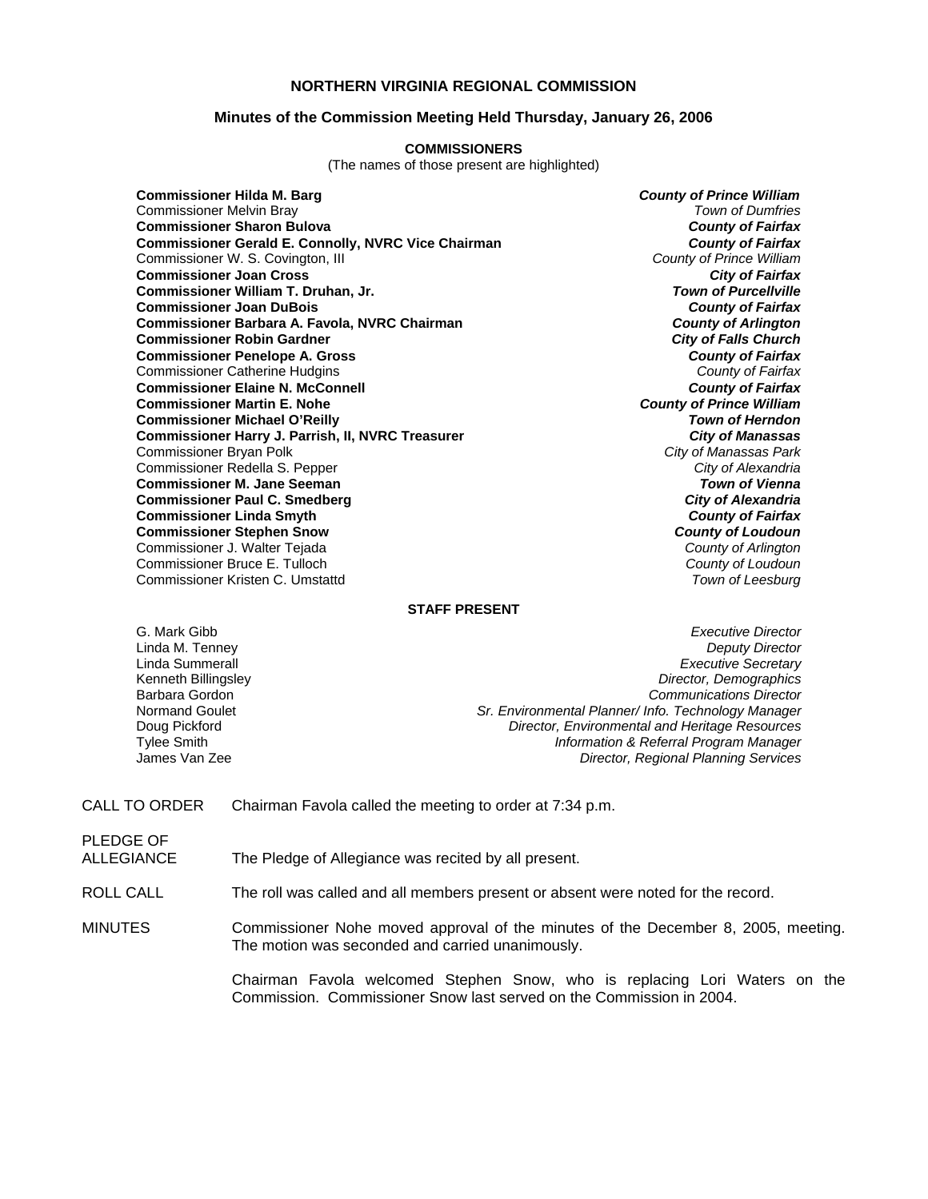### **NORTHERN VIRGINIA REGIONAL COMMISSION**

#### **Minutes of the Commission Meeting Held Thursday, January 26, 2006**

#### **COMMISSIONERS**

(The names of those present are highlighted)

**Commissioner Hilda M. Barg** *County of Prince William* Commissioner Melvin Bray *Town of Dumfries* **Commissioner Sharon Bulova** *County of Fairfax* **Commissioner Gerald E. Connolly, NVRC Vice Chairman** *County of Fairfax**County of Fairfax***<br>Commissioner W. S. Covington, III <b>County of Prince William** Commissioner W. S. Covington, III *County of Prince William* **Commissioner Joan Cross Commissioner William T. Druhan, Jr.** *Town of Purcellville* **Commissioner Joan DuBois** *County of Fairfax* **Commissioner Barbara A. Favola, NVRC Chairman** *County of Arlington* **Commissioner Robin Gardner** *City of Falls Church* **Commissioner Penelope A. Gross** *County of Fairfax* Commissioner Catherine Hudgins *County of Fairfax* **Commissioner Elaine N. McConnell** *County of Fairfax* **Commissioner Martin E. Nohe** *County of Prince William* **Commissioner Michael O'Reilly** *Town of Herndon* **Commissioner Harry J. Parrish, II, NVRC Treasurer** *City of Manassas* Commissioner Bryan Polk *City of Manassas Park* Commissioner Redella S. Pepper *City of Alexandria* **Commissioner M. Jane Seeman Commissioner Paul C. Smedberg** *City of Alexandria* **Commissioner Linda Smyth** *County of Fairfax* **Commissioner Stephen Snow** *County of Loudoun* Commissioner J. Walter Tejada *County of Arlington* Commissioner Bruce E. Tulloch *County of Loudoun* Commissioner Kristen C. Umstattd *Town of Leesburg*

#### **STAFF PRESENT**

G. Mark Gibb *Executive Director* **Deputy Director** Linda Summerall *Executive Secretary* Kenneth Billingsley *Director, Demographics* Barbara Gordon *Communications Director* Normand Goulet *Sr. Environmental Planner/ Info. Technology Manager* Doug Pickford *Director, Environmental and Heritage Resources* Tylee Smith *Information & Referral Program Manager* **Director, Regional Planning Services** 

CALL TO ORDER Chairman Favola called the meeting to order at 7:34 p.m.

PLEDGE OF<br>ALLEGIANCE The Pledge of Allegiance was recited by all present.

ROLL CALL The roll was called and all members present or absent were noted for the record.

MINUTES Commissioner Nohe moved approval of the minutes of the December 8, 2005, meeting. The motion was seconded and carried unanimously.

> Chairman Favola welcomed Stephen Snow, who is replacing Lori Waters on the Commission. Commissioner Snow last served on the Commission in 2004.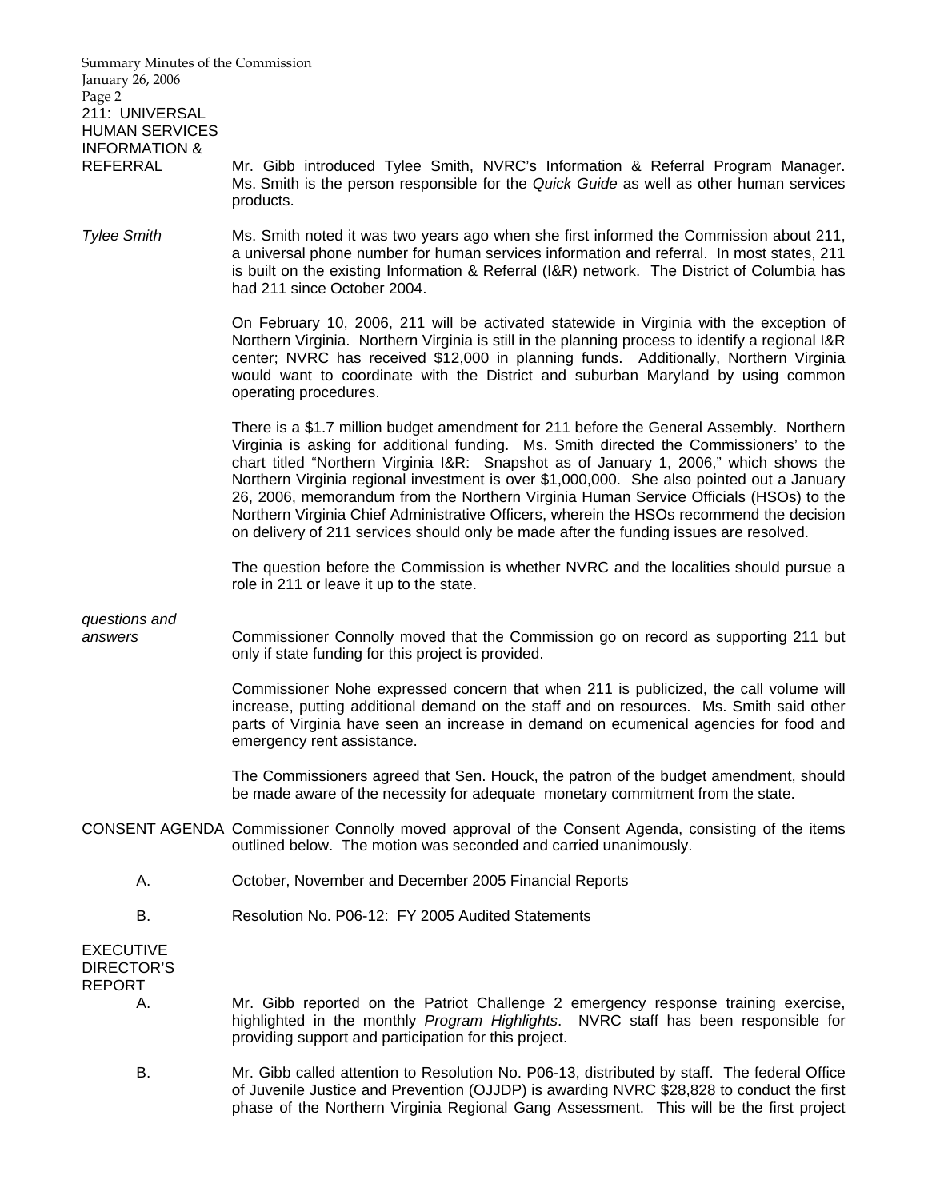| Summary Minutes of the Commission<br>January 26, 2006<br>Page 2<br>211: UNIVERSAL<br><b>HUMAN SERVICES</b> |                                                                                                                                                                                                                                                                                                                                                                                                                                                                                                                                                                                                                                                         |
|------------------------------------------------------------------------------------------------------------|---------------------------------------------------------------------------------------------------------------------------------------------------------------------------------------------------------------------------------------------------------------------------------------------------------------------------------------------------------------------------------------------------------------------------------------------------------------------------------------------------------------------------------------------------------------------------------------------------------------------------------------------------------|
| <b>INFORMATION &amp;</b><br><b>REFERRAL</b>                                                                | Mr. Gibb introduced Tylee Smith, NVRC's Information & Referral Program Manager.<br>Ms. Smith is the person responsible for the Quick Guide as well as other human services<br>products.                                                                                                                                                                                                                                                                                                                                                                                                                                                                 |
| <b>Tylee Smith</b>                                                                                         | Ms. Smith noted it was two years ago when she first informed the Commission about 211,<br>a universal phone number for human services information and referral. In most states, 211<br>is built on the existing Information & Referral (I&R) network. The District of Columbia has<br>had 211 since October 2004.                                                                                                                                                                                                                                                                                                                                       |
|                                                                                                            | On February 10, 2006, 211 will be activated statewide in Virginia with the exception of<br>Northern Virginia. Northern Virginia is still in the planning process to identify a regional I&R<br>center; NVRC has received \$12,000 in planning funds. Additionally, Northern Virginia<br>would want to coordinate with the District and suburban Maryland by using common<br>operating procedures.                                                                                                                                                                                                                                                       |
|                                                                                                            | There is a \$1.7 million budget amendment for 211 before the General Assembly. Northern<br>Virginia is asking for additional funding. Ms. Smith directed the Commissioners' to the<br>chart titled "Northern Virginia I&R: Snapshot as of January 1, 2006," which shows the<br>Northern Virginia regional investment is over \$1,000,000. She also pointed out a January<br>26, 2006, memorandum from the Northern Virginia Human Service Officials (HSOs) to the<br>Northern Virginia Chief Administrative Officers, wherein the HSOs recommend the decision<br>on delivery of 211 services should only be made after the funding issues are resolved. |
|                                                                                                            | The question before the Commission is whether NVRC and the localities should pursue a<br>role in 211 or leave it up to the state.                                                                                                                                                                                                                                                                                                                                                                                                                                                                                                                       |
| questions and                                                                                              |                                                                                                                                                                                                                                                                                                                                                                                                                                                                                                                                                                                                                                                         |
| answers                                                                                                    | Commissioner Connolly moved that the Commission go on record as supporting 211 but<br>only if state funding for this project is provided.                                                                                                                                                                                                                                                                                                                                                                                                                                                                                                               |
|                                                                                                            | Commissioner Nohe expressed concern that when 211 is publicized, the call volume will<br>increase, putting additional demand on the staff and on resources. Ms. Smith said other<br>parts of Virginia have seen an increase in demand on ecumenical agencies for food and<br>emergency rent assistance.                                                                                                                                                                                                                                                                                                                                                 |
|                                                                                                            | The Commissioners agreed that Sen. Houck, the patron of the budget amendment, should<br>be made aware of the necessity for adequate monetary commitment from the state.                                                                                                                                                                                                                                                                                                                                                                                                                                                                                 |
|                                                                                                            | CONSENT AGENDA Commissioner Connolly moved approval of the Consent Agenda, consisting of the items<br>outlined below. The motion was seconded and carried unanimously.                                                                                                                                                                                                                                                                                                                                                                                                                                                                                  |
| А.                                                                                                         | October, November and December 2005 Financial Reports                                                                                                                                                                                                                                                                                                                                                                                                                                                                                                                                                                                                   |
| В.                                                                                                         | Resolution No. P06-12: FY 2005 Audited Statements                                                                                                                                                                                                                                                                                                                                                                                                                                                                                                                                                                                                       |
| <b>EXECUTIVE</b><br><b>DIRECTOR'S</b>                                                                      |                                                                                                                                                                                                                                                                                                                                                                                                                                                                                                                                                                                                                                                         |
| <b>REPORT</b><br>А.                                                                                        | Mr. Gibb reported on the Patriot Challenge 2 emergency response training exercise,<br>highlighted in the monthly Program Highlights. NVRC staff has been responsible for<br>providing support and participation for this project.                                                                                                                                                                                                                                                                                                                                                                                                                       |
| В.                                                                                                         | Mr. Gibb called attention to Resolution No. P06-13, distributed by staff. The federal Office<br>of Juvenile Justice and Prevention (OJJDP) is awarding NVRC \$28,828 to conduct the first<br>phase of the Northern Virginia Regional Gang Assessment. This will be the first project                                                                                                                                                                                                                                                                                                                                                                    |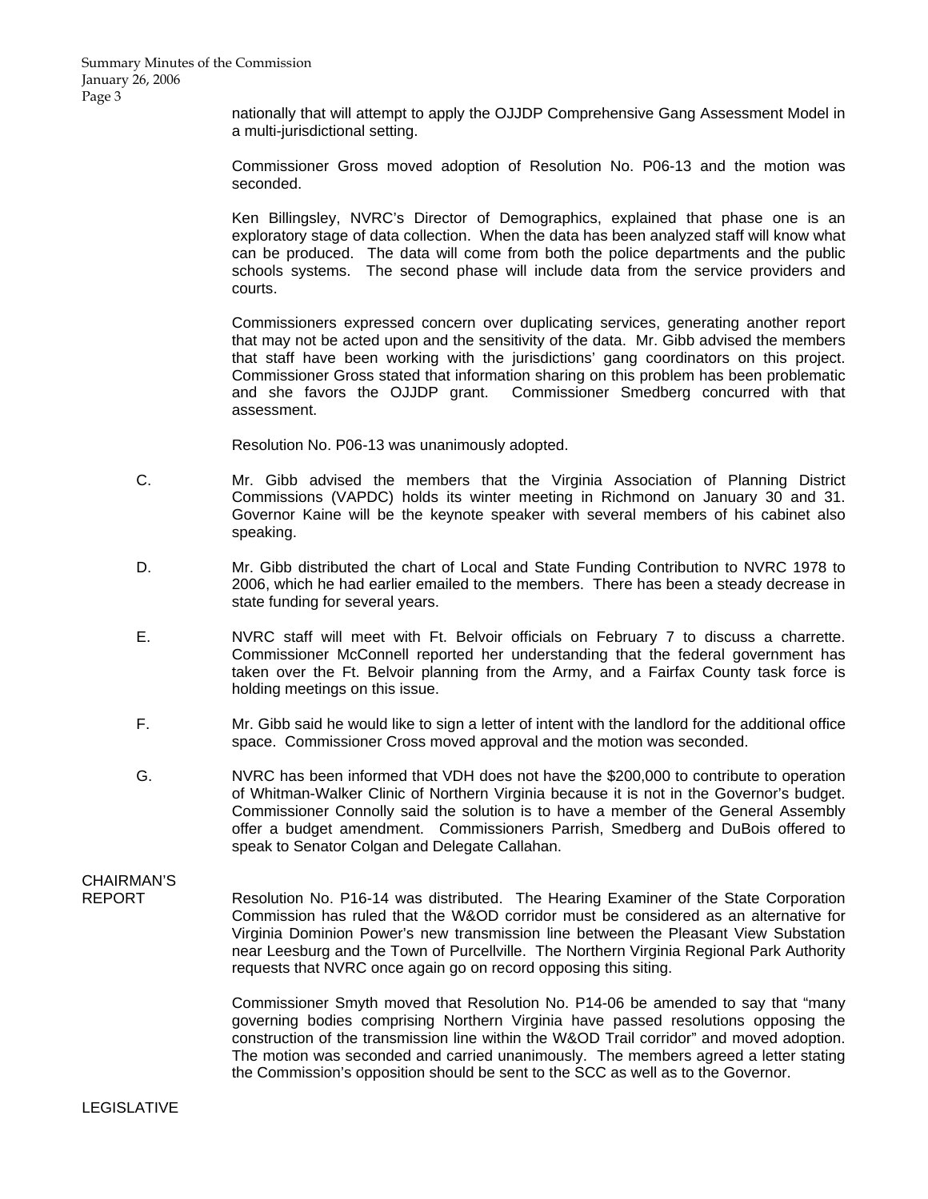nationally that will attempt to apply the OJJDP Comprehensive Gang Assessment Model in a multi-jurisdictional setting.

 Commissioner Gross moved adoption of Resolution No. P06-13 and the motion was seconded.

 Ken Billingsley, NVRC's Director of Demographics, explained that phase one is an exploratory stage of data collection. When the data has been analyzed staff will know what can be produced. The data will come from both the police departments and the public schools systems. The second phase will include data from the service providers and courts.

 Commissioners expressed concern over duplicating services, generating another report that may not be acted upon and the sensitivity of the data. Mr. Gibb advised the members that staff have been working with the jurisdictions' gang coordinators on this project. Commissioner Gross stated that information sharing on this problem has been problematic and she favors the OJJDP grant. Commissioner Smedberg concurred with that assessment.

Resolution No. P06-13 was unanimously adopted.

- C. Mr. Gibb advised the members that the Virginia Association of Planning District Commissions (VAPDC) holds its winter meeting in Richmond on January 30 and 31. Governor Kaine will be the keynote speaker with several members of his cabinet also speaking.
- D. Mr. Gibb distributed the chart of Local and State Funding Contribution to NVRC 1978 to 2006, which he had earlier emailed to the members. There has been a steady decrease in state funding for several years.
- E. NVRC staff will meet with Ft. Belvoir officials on February 7 to discuss a charrette. Commissioner McConnell reported her understanding that the federal government has taken over the Ft. Belvoir planning from the Army, and a Fairfax County task force is holding meetings on this issue.
- F. Mr. Gibb said he would like to sign a letter of intent with the landlord for the additional office space. Commissioner Cross moved approval and the motion was seconded.
- G. NVRC has been informed that VDH does not have the \$200,000 to contribute to operation of Whitman-Walker Clinic of Northern Virginia because it is not in the Governor's budget. Commissioner Connolly said the solution is to have a member of the General Assembly offer a budget amendment. Commissioners Parrish, Smedberg and DuBois offered to speak to Senator Colgan and Delegate Callahan.

# CHAIRMAN'S<br>REPORT

Resolution No. P16-14 was distributed. The Hearing Examiner of the State Corporation Commission has ruled that the W&OD corridor must be considered as an alternative for Virginia Dominion Power's new transmission line between the Pleasant View Substation near Leesburg and the Town of Purcellville. The Northern Virginia Regional Park Authority requests that NVRC once again go on record opposing this siting.

 Commissioner Smyth moved that Resolution No. P14-06 be amended to say that "many governing bodies comprising Northern Virginia have passed resolutions opposing the construction of the transmission line within the W&OD Trail corridor" and moved adoption. The motion was seconded and carried unanimously. The members agreed a letter stating the Commission's opposition should be sent to the SCC as well as to the Governor.